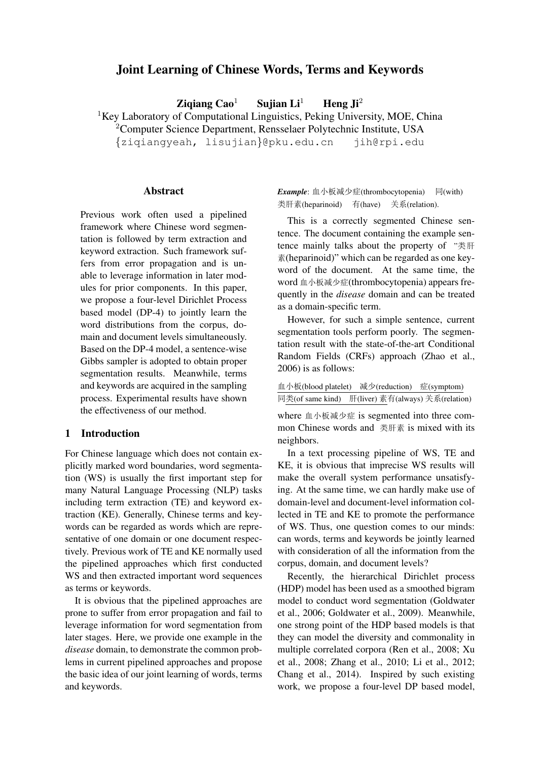# Joint Learning of Chinese Words, Terms and Keywords

Ziqiang Cao<sup>1</sup> Sujian Li<sup>1</sup> Heng Ji<sup>2</sup>

<sup>1</sup>Key Laboratory of Computational Linguistics, Peking University, MOE, China

<sup>2</sup>Computer Science Department, Rensselaer Polytechnic Institute, USA

{ziqiangyeah, lisujian}@pku.edu.cn jih@rpi.edu

#### **Abstract**

Previous work often used a pipelined framework where Chinese word segmentation is followed by term extraction and keyword extraction. Such framework suffers from error propagation and is unable to leverage information in later modules for prior components. In this paper, we propose a four-level Dirichlet Process based model (DP-4) to jointly learn the word distributions from the corpus, domain and document levels simultaneously. Based on the DP-4 model, a sentence-wise Gibbs sampler is adopted to obtain proper segmentation results. Meanwhile, terms and keywords are acquired in the sampling process. Experimental results have shown the effectiveness of our method.

# 1 Introduction

For Chinese language which does not contain explicitly marked word boundaries, word segmentation (WS) is usually the first important step for many Natural Language Processing (NLP) tasks including term extraction (TE) and keyword extraction (KE). Generally, Chinese terms and keywords can be regarded as words which are representative of one domain or one document respectively. Previous work of TE and KE normally used the pipelined approaches which first conducted WS and then extracted important word sequences as terms or keywords.

It is obvious that the pipelined approaches are prone to suffer from error propagation and fail to leverage information for word segmentation from later stages. Here, we provide one example in the *disease* domain, to demonstrate the common problems in current pipelined approaches and propose the basic idea of our joint learning of words, terms and keywords.

Example: 血小板减少症(thrombocytopenia) 同(with) 类肝素(heparinoid) 有(have) 关系(relation).

This is a correctly segmented Chinese sentence. The document containing the example sentence mainly talks about the property of  $"$ 素(heparinoid)" which can be regarded as one keyword of the document. At the same time, the word 血小板减少症(thrombocytopenia) appears frequently in the *disease* domain and can be treated as a domain-specific term.

However, for such a simple sentence, current segmentation tools perform poorly. The segmentation result with the state-of-the-art Conditional Random Fields (CRFs) approach (Zhao et al., 2006) is as follows:

| 血小板(blood platelet) | 减少(reduction) 症(symptom)         |  |  |
|---------------------|----------------------------------|--|--|
| 同类(of same kind)    | 肝(liver) 素有(always) 关系(relation) |  |  |

where 血小板减少症 is segmented into three common Chinese words and 类肝素 is mixed with its neighbors.

In a text processing pipeline of WS, TE and KE, it is obvious that imprecise WS results will make the overall system performance unsatisfying. At the same time, we can hardly make use of domain-level and document-level information collected in TE and KE to promote the performance of WS. Thus, one question comes to our minds: can words, terms and keywords be jointly learned with consideration of all the information from the corpus, domain, and document levels?

Recently, the hierarchical Dirichlet process (HDP) model has been used as a smoothed bigram model to conduct word segmentation (Goldwater et al., 2006; Goldwater et al., 2009). Meanwhile, one strong point of the HDP based models is that they can model the diversity and commonality in multiple correlated corpora (Ren et al., 2008; Xu et al., 2008; Zhang et al., 2010; Li et al., 2012; Chang et al., 2014). Inspired by such existing work, we propose a four-level DP based model,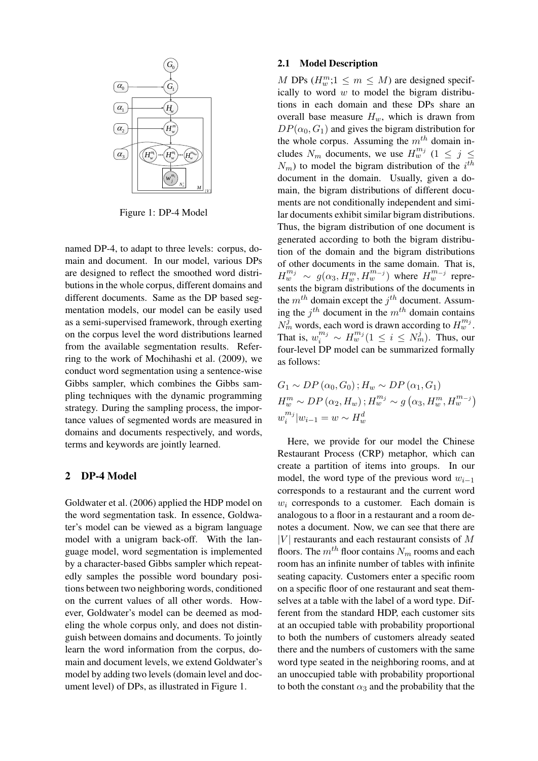

Figure 1: DP-4 Model

named DP-4, to adapt to three levels: corpus, domain and document. In our model, various DPs are designed to reflect the smoothed word distributions in the whole corpus, different domains and different documents. Same as the DP based segmentation models, our model can be easily used as a semi-supervised framework, through exerting on the corpus level the word distributions learned from the available segmentation results. Referring to the work of Mochihashi et al. (2009), we conduct word segmentation using a sentence-wise Gibbs sampler, which combines the Gibbs sampling techniques with the dynamic programming strategy. During the sampling process, the importance values of segmented words are measured in domains and documents respectively, and words, terms and keywords are jointly learned.

## 2 DP-4 Model

Goldwater et al. (2006) applied the HDP model on the word segmentation task. In essence, Goldwater's model can be viewed as a bigram language model with a unigram back-off. With the language model, word segmentation is implemented by a character-based Gibbs sampler which repeatedly samples the possible word boundary positions between two neighboring words, conditioned on the current values of all other words. However, Goldwater's model can be deemed as modeling the whole corpus only, and does not distinguish between domains and documents. To jointly learn the word information from the corpus, domain and document levels, we extend Goldwater's model by adding two levels (domain level and document level) of DPs, as illustrated in Figure 1.

## 2.1 Model Description

*H*tions in each domain and these DPs share an  $H_{\nu}^m$  *DP*( $\alpha_0$ ,  $G_1$ ) and gives the bigram distribution for  $\frac{1}{2}$   $\left| \left| \left( \widehat{H^n_w} \cdots \widehat{H^n_w} \cdots \widehat{H^n_w} \cdots \widehat{H^n_w} \right) \right| \right|$  cludes  $N_m$  documents, we use  $H^{m_j}_w$  ( $1 \leq j \leq j$ *M*<sub>IV</sub> main, the bigram distributions of different docu-M DPs  $(H_w^m; 1 \leq m \leq M)$  are designed specifically to word  $w$  to model the bigram distribuoverall base measure  $H_w$ , which is drawn from the whole corpus. Assuming the  $m<sup>th</sup>$  domain in- $N_m$ ) to model the bigram distribution of the  $i^{th}$ document in the domain. Usually, given a doments are not conditionally independent and similar documents exhibit similar bigram distributions. Thus, the bigram distribution of one document is generated according to both the bigram distribution of the domain and the bigram distributions of other documents in the same domain. That is,  $H_w^{m_j} \sim g(\alpha_3, H_w^m, H_w^{m_{-j}})$  where  $H_w^{m_{-j}}$  represents the bigram distributions of the documents in the  $m^{th}$  domain except the  $j^{th}$  document. Assuming the  $j^{th}$  document in the  $m^{th}$  domain contains  $N_m^j$  words, each word is drawn according to  $H_w^{m_j}$ . That is,  $w_i^{m_j} \sim H_w^{m_j} (1 \leq i \leq N_m^j)$ . Thus, our four-level DP model can be summarized formally as follows:

$$
G_1 \sim DP(\alpha_0, G_0); H_w \sim DP(\alpha_1, G_1)
$$
  
\n
$$
H_w^m \sim DP(\alpha_2, H_w); H_w^{m_j} \sim g(\alpha_3, H_w^m, H_w^{m_{-j}})
$$
  
\n
$$
w_i^{m_j}|w_{i-1} = w \sim H_w^d
$$

Here, we provide for our model the Chinese Restaurant Process (CRP) metaphor, which can create a partition of items into groups. In our model, the word type of the previous word  $w_{i-1}$ corresponds to a restaurant and the current word  $w_i$  corresponds to a customer. Each domain is analogous to a floor in a restaurant and a room denotes a document. Now, we can see that there are  $|V|$  restaurants and each restaurant consists of M floors. The  $m^{th}$  floor contains  $N_m$  rooms and each room has an infinite number of tables with infinite seating capacity. Customers enter a specific room on a specific floor of one restaurant and seat themselves at a table with the label of a word type. Different from the standard HDP, each customer sits at an occupied table with probability proportional to both the numbers of customers already seated there and the numbers of customers with the same word type seated in the neighboring rooms, and at an unoccupied table with probability proportional to both the constant  $\alpha_3$  and the probability that the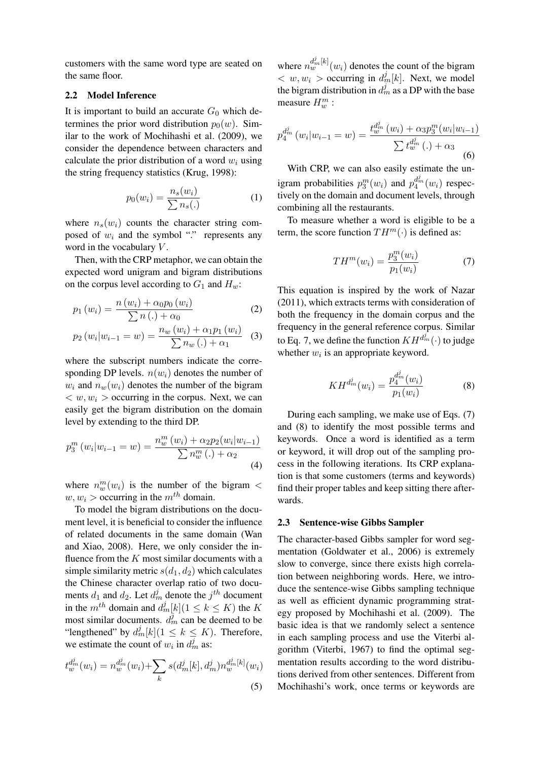customers with the same word type are seated on the same floor.

#### 2.2 Model Inference

It is important to build an accurate  $G_0$  which determines the prior word distribution  $p_0(w)$ . Similar to the work of Mochihashi et al. (2009), we consider the dependence between characters and calculate the prior distribution of a word  $w_i$  using the string frequency statistics (Krug, 1998):

$$
p_0(w_i) = \frac{n_s(w_i)}{\sum n_s(.)} \tag{1}
$$

where  $n_s(w_i)$  counts the character string composed of  $w_i$  and the symbol "." represents any word in the vocabulary  $V$ .

Then, with the CRP metaphor, we can obtain the expected word unigram and bigram distributions on the corpus level according to  $G_1$  and  $H_w$ :

$$
p_1(w_i) = \frac{n(w_i) + \alpha_0 p_0(w_i)}{\sum n(.) + \alpha_0} \tag{2}
$$

$$
p_2(w_i|w_{i-1} = w) = \frac{n_w(w_i) + \alpha_1 p_1(w_i)}{\sum n_w(\cdot) + \alpha_1} \quad (3)
$$

where the subscript numbers indicate the corresponding DP levels.  $n(w_i)$  denotes the number of  $w_i$  and  $n_w(w_i)$  denotes the number of the bigram  $\langle w, w_i \rangle$  occurring in the corpus. Next, we can easily get the bigram distribution on the domain level by extending to the third DP.

$$
p_3^m(w_i|w_{i-1} = w) = \frac{n_w^m(w_i) + \alpha_2 p_2(w_i|w_{i-1})}{\sum n_w^m(.) + \alpha_2}
$$
\n(4)

where  $n_w^m(w_i)$  is the number of the bigram  $\lt$  $w, w_i >$  occurring in the  $m<sup>th</sup>$  domain.

To model the bigram distributions on the document level, it is beneficial to consider the influence of related documents in the same domain (Wan and Xiao, 2008). Here, we only consider the influence from the  $K$  most similar documents with a simple similarity metric  $s(d_1, d_2)$  which calculates the Chinese character overlap ratio of two documents  $d_1$  and  $d_2$ . Let  $d_m^j$  denote the  $j^{th}$  document in the  $m^{th}$  domain and  $d_m^j[k](1 \leq k \leq K)$  the K most similar documents.  $d_m^j$  can be deemed to be "lengthened" by  $d_m^j[k]$  ( $1 \leq k \leq K$ ). Therefore, we estimate the count of  $w_i$  in  $d_m^j$  as:

$$
t_w^{d_m^j}(w_i) = n_w^{d_m^j}(w_i) + \sum_k s(d_m^j[k], d_m^j) n_w^{d_m^j[k]}(w_i)
$$
\n(5)

where  $n_w^{d_m^j[k]}(w_i)$  denotes the count of the bigram  $\langle w, w_i \rangle$  occurring in  $d_m^j[k]$ . Next, we model the bigram distribution in  $d_m^j$  as a DP with the base measure  $H_w^m$ :

$$
p_4^{d_m^j}(w_i|w_{i-1} = w) = \frac{t_w^{d_m^j}(w_i) + \alpha_3 p_3^m(w_i|w_{i-1})}{\sum t_w^{d_m^j}(\cdot) + \alpha_3}
$$
(6)

With CRP, we can also easily estimate the unigram probabilities  $p_3^m(w_i)$  and  $p_4^{d_m^j}(w_i)$  respectively on the domain and document levels, through combining all the restaurants.

To measure whether a word is eligible to be a term, the score function  $TH^m(\cdot)$  is defined as:

$$
TH^{m}(w_{i}) = \frac{p_{3}^{m}(w_{i})}{p_{1}(w_{i})}
$$
\n(7)

This equation is inspired by the work of Nazar (2011), which extracts terms with consideration of both the frequency in the domain corpus and the frequency in the general reference corpus. Similar to Eq. 7, we define the function  $KH^{d_m^j}(\cdot)$  to judge whether  $w_i$  is an appropriate keyword.

$$
KH^{d_m^j}(w_i) = \frac{p_4^{d_m^j}(w_i)}{p_1(w_i)}
$$
(8)

During each sampling, we make use of Eqs. (7) and (8) to identify the most possible terms and keywords. Once a word is identified as a term or keyword, it will drop out of the sampling process in the following iterations. Its CRP explanation is that some customers (terms and keywords) find their proper tables and keep sitting there afterwards.

#### 2.3 Sentence-wise Gibbs Sampler

The character-based Gibbs sampler for word segmentation (Goldwater et al., 2006) is extremely slow to converge, since there exists high correlation between neighboring words. Here, we introduce the sentence-wise Gibbs sampling technique as well as efficient dynamic programming strategy proposed by Mochihashi et al. (2009). The basic idea is that we randomly select a sentence in each sampling process and use the Viterbi algorithm (Viterbi, 1967) to find the optimal segmentation results according to the word distributions derived from other sentences. Different from Mochihashi's work, once terms or keywords are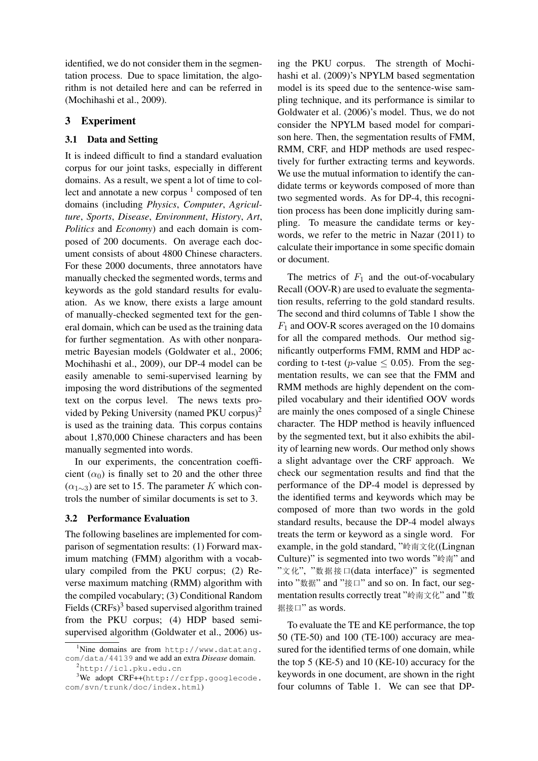identified, we do not consider them in the segmentation process. Due to space limitation, the algorithm is not detailed here and can be referred in (Mochihashi et al., 2009).

# 3 Experiment

## 3.1 Data and Setting

It is indeed difficult to find a standard evaluation corpus for our joint tasks, especially in different domains. As a result, we spent a lot of time to collect and annotate a new corpus  $1$  composed of ten domains (including *Physics*, *Computer*, *Agriculture*, *Sports*, *Disease*, *Environment*, *History*, *Art*, *Politics* and *Economy*) and each domain is composed of 200 documents. On average each document consists of about 4800 Chinese characters. For these 2000 documents, three annotators have manually checked the segmented words, terms and keywords as the gold standard results for evaluation. As we know, there exists a large amount of manually-checked segmented text for the general domain, which can be used as the training data for further segmentation. As with other nonparametric Bayesian models (Goldwater et al., 2006; Mochihashi et al., 2009), our DP-4 model can be easily amenable to semi-supervised learning by imposing the word distributions of the segmented text on the corpus level. The news texts provided by Peking University (named PKU corpus)<sup>2</sup> is used as the training data. This corpus contains about 1,870,000 Chinese characters and has been manually segmented into words.

In our experiments, the concentration coefficient  $(\alpha_0)$  is finally set to 20 and the other three  $(\alpha_{1\sim3})$  are set to 15. The parameter K which controls the number of similar documents is set to 3.

### 3.2 Performance Evaluation

The following baselines are implemented for comparison of segmentation results: (1) Forward maximum matching (FMM) algorithm with a vocabulary compiled from the PKU corpus; (2) Reverse maximum matching (RMM) algorithm with the compiled vocabulary; (3) Conditional Random Fields  $(CRFs)^3$  based supervised algorithm trained from the PKU corpus; (4) HDP based semisupervised algorithm (Goldwater et al., 2006) us-

ing the PKU corpus. The strength of Mochihashi et al. (2009)'s NPYLM based segmentation model is its speed due to the sentence-wise sampling technique, and its performance is similar to Goldwater et al. (2006)'s model. Thus, we do not consider the NPYLM based model for comparison here. Then, the segmentation results of FMM, RMM, CRF, and HDP methods are used respectively for further extracting terms and keywords. We use the mutual information to identify the candidate terms or keywords composed of more than two segmented words. As for DP-4, this recognition process has been done implicitly during sampling. To measure the candidate terms or keywords, we refer to the metric in Nazar (2011) to calculate their importance in some specific domain or document.

The metrics of  $F_1$  and the out-of-vocabulary Recall (OOV-R) are used to evaluate the segmentation results, referring to the gold standard results. The second and third columns of Table 1 show the  $F_1$  and OOV-R scores averaged on the 10 domains for all the compared methods. Our method significantly outperforms FMM, RMM and HDP according to t-test (p-value  $\leq$  0.05). From the segmentation results, we can see that the FMM and RMM methods are highly dependent on the compiled vocabulary and their identified OOV words are mainly the ones composed of a single Chinese character. The HDP method is heavily influenced by the segmented text, but it also exhibits the ability of learning new words. Our method only shows a slight advantage over the CRF approach. We check our segmentation results and find that the performance of the DP-4 model is depressed by the identified terms and keywords which may be composed of more than two words in the gold standard results, because the DP-4 model always treats the term or keyword as a single word. For example, in the gold standard, "岭南文化((Lingnan Culture)" is segmented into two words "岭南" and "á", "pn•"(data interface)" is segmented into "\*\*\*" and "\*\*\*\*" and so on. In fact, our segmentation results correctly treat "岭南文化" and "数 据接口" as words.

To evaluate the TE and KE performance, the top 50 (TE-50) and 100 (TE-100) accuracy are measured for the identified terms of one domain, while the top 5 (KE-5) and 10 (KE-10) accuracy for the keywords in one document, are shown in the right four columns of Table 1. We can see that DP-

 $1$ Nine domains are from http://www.datatang. com/data/44139 and we add an extra *Disease* domain.

<sup>2</sup>http://icl.pku.edu.cn

<sup>&</sup>lt;sup>3</sup>We adopt CRF++(http://crfpp.googlecode. com/svn/trunk/doc/index.html)